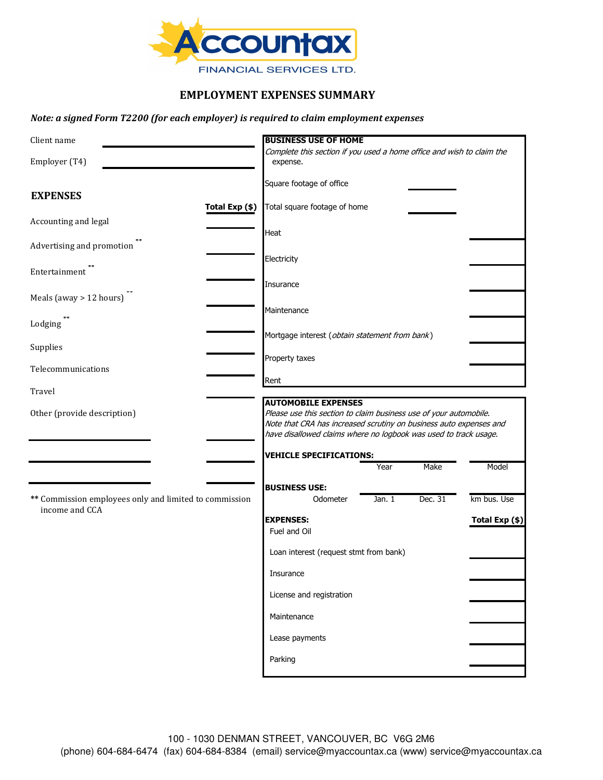

## **EMPLOYMENT EXPENSES SUMMARY**

### *Note: a signed Form T2200 (for each employer) is required to claim employment expenses*

| Client name                                                              | <b>BUSINESS USE OF HOME</b>                                                                                                                                                                                                               |
|--------------------------------------------------------------------------|-------------------------------------------------------------------------------------------------------------------------------------------------------------------------------------------------------------------------------------------|
| Employer (T4)                                                            | Complete this section if you used a home office and wish to claim the<br>expense.                                                                                                                                                         |
| <b>EXPENSES</b>                                                          | Square footage of office                                                                                                                                                                                                                  |
| Total Exp (\$)                                                           | Total square footage of home                                                                                                                                                                                                              |
| Accounting and legal                                                     | Heat                                                                                                                                                                                                                                      |
| Advertising and promotion                                                | Electricity                                                                                                                                                                                                                               |
| Entertainment                                                            |                                                                                                                                                                                                                                           |
| Meals (away $> 12$ hours)                                                | Insurance                                                                                                                                                                                                                                 |
| Lodging                                                                  | Maintenance                                                                                                                                                                                                                               |
| Supplies                                                                 | Mortgage interest (obtain statement from bank)                                                                                                                                                                                            |
| Telecommunications                                                       | Property taxes                                                                                                                                                                                                                            |
| Travel                                                                   | Rent                                                                                                                                                                                                                                      |
| Other (provide description)                                              | <b>AUTOMOBILE EXPENSES</b><br>Please use this section to claim business use of your automobile.<br>Note that CRA has increased scrutiny on business auto expenses and<br>have disallowed claims where no logbook was used to track usage. |
|                                                                          | <b>VEHICLE SPECIFICATIONS:</b>                                                                                                                                                                                                            |
|                                                                          | Make<br>Model<br>Year                                                                                                                                                                                                                     |
| ** Commission employees only and limited to commission<br>income and CCA | <b>BUSINESS USE:</b><br>Dec. 31<br>km bus. Use<br>Odometer<br>Jan. 1                                                                                                                                                                      |
|                                                                          | <b>EXPENSES:</b><br>Total Exp (\$)<br>Fuel and Oil                                                                                                                                                                                        |
|                                                                          | Loan interest (request stmt from bank)                                                                                                                                                                                                    |
|                                                                          | Insurance                                                                                                                                                                                                                                 |
|                                                                          | License and registration                                                                                                                                                                                                                  |
|                                                                          | Maintenance                                                                                                                                                                                                                               |
|                                                                          | Lease payments                                                                                                                                                                                                                            |
|                                                                          | Parking                                                                                                                                                                                                                                   |
|                                                                          |                                                                                                                                                                                                                                           |